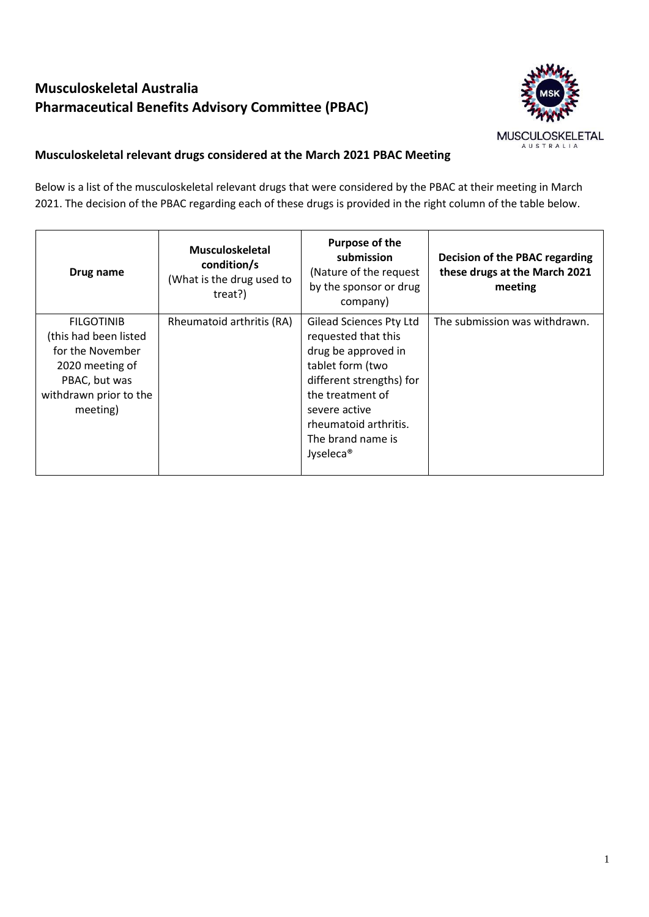## **Musculoskeletal Australia Pharmaceutical Benefits Advisory Committee (PBAC)**



## **Musculoskeletal relevant drugs considered at the March 2021 PBAC Meeting**

Below is a list of the musculoskeletal relevant drugs that were considered by the PBAC at their meeting in March 2021. The decision of the PBAC regarding each of these drugs is provided in the right column of the table below.

| Drug name                                                                                                                                | <b>Musculoskeletal</b><br>condition/s<br>(What is the drug used to<br>treat?) | Purpose of the<br>submission<br>(Nature of the request<br>by the sponsor or drug<br>company)                                                                                                                                             | Decision of the PBAC regarding<br>these drugs at the March 2021<br>meeting |
|------------------------------------------------------------------------------------------------------------------------------------------|-------------------------------------------------------------------------------|------------------------------------------------------------------------------------------------------------------------------------------------------------------------------------------------------------------------------------------|----------------------------------------------------------------------------|
| <b>FILGOTINIB</b><br>(this had been listed<br>for the November<br>2020 meeting of<br>PBAC, but was<br>withdrawn prior to the<br>meeting) | Rheumatoid arthritis (RA)                                                     | <b>Gilead Sciences Pty Ltd</b><br>requested that this<br>drug be approved in<br>tablet form (two<br>different strengths) for<br>the treatment of<br>severe active<br>rheumatoid arthritis.<br>The brand name is<br>Jyseleca <sup>®</sup> | The submission was withdrawn.                                              |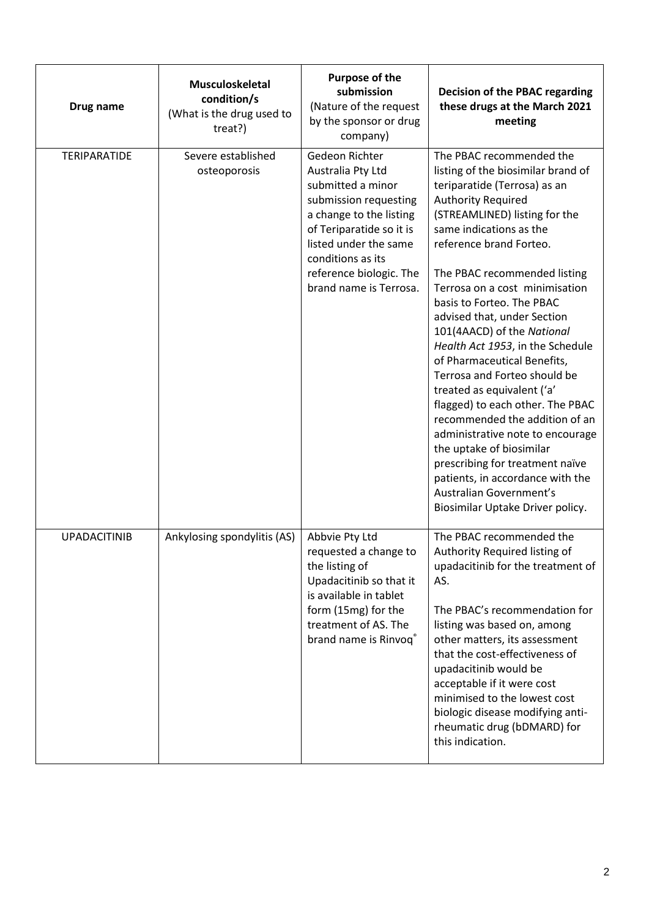| Drug name           | Musculoskeletal<br>condition/s<br>(What is the drug used to<br>treat?) | Purpose of the<br>submission<br>(Nature of the request<br>by the sponsor or drug<br>company)                                                                                                                                                | <b>Decision of the PBAC regarding</b><br>these drugs at the March 2021<br>meeting                                                                                                                                                                                                                                                                                                                                                                                                                                                                                                                                                                                                                                                                                                           |
|---------------------|------------------------------------------------------------------------|---------------------------------------------------------------------------------------------------------------------------------------------------------------------------------------------------------------------------------------------|---------------------------------------------------------------------------------------------------------------------------------------------------------------------------------------------------------------------------------------------------------------------------------------------------------------------------------------------------------------------------------------------------------------------------------------------------------------------------------------------------------------------------------------------------------------------------------------------------------------------------------------------------------------------------------------------------------------------------------------------------------------------------------------------|
| <b>TERIPARATIDE</b> | Severe established<br>osteoporosis                                     | Gedeon Richter<br>Australia Pty Ltd<br>submitted a minor<br>submission requesting<br>a change to the listing<br>of Teriparatide so it is<br>listed under the same<br>conditions as its<br>reference biologic. The<br>brand name is Terrosa. | The PBAC recommended the<br>listing of the biosimilar brand of<br>teriparatide (Terrosa) as an<br><b>Authority Required</b><br>(STREAMLINED) listing for the<br>same indications as the<br>reference brand Forteo.<br>The PBAC recommended listing<br>Terrosa on a cost minimisation<br>basis to Forteo. The PBAC<br>advised that, under Section<br>101(4AACD) of the National<br>Health Act 1953, in the Schedule<br>of Pharmaceutical Benefits,<br>Terrosa and Forteo should be<br>treated as equivalent ('a'<br>flagged) to each other. The PBAC<br>recommended the addition of an<br>administrative note to encourage<br>the uptake of biosimilar<br>prescribing for treatment naïve<br>patients, in accordance with the<br>Australian Government's<br>Biosimilar Uptake Driver policy. |
| <b>UPADACITINIB</b> | Ankylosing spondylitis (AS)                                            | Abbvie Pty Ltd<br>requested a change to<br>the listing of<br>Upadacitinib so that it<br>is available in tablet<br>form (15mg) for the<br>treatment of AS. The<br>brand name is Rinvoq®                                                      | The PBAC recommended the<br>Authority Required listing of<br>upadacitinib for the treatment of<br>AS.<br>The PBAC's recommendation for<br>listing was based on, among<br>other matters, its assessment<br>that the cost-effectiveness of<br>upadacitinib would be<br>acceptable if it were cost<br>minimised to the lowest cost<br>biologic disease modifying anti-<br>rheumatic drug (bDMARD) for<br>this indication.                                                                                                                                                                                                                                                                                                                                                                      |